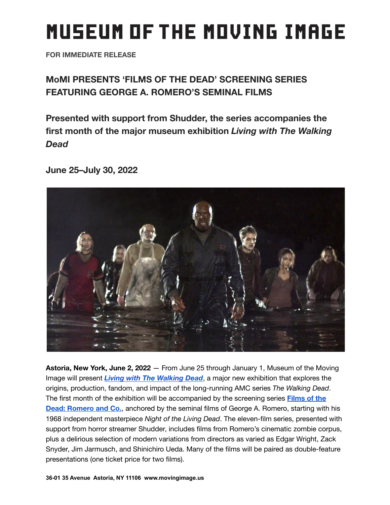# **MUSEUM OF THE MOVING IMAGE**

**FOR IMMEDIATE RELEASE**

# **MoMI PRESENTS 'FILMS OF THE DEAD' SCREENING SERIES FEATURING GEORGE A. ROMERO'S SEMINAL FILMS**

**Presented with support from Shudder, the series accompanies the first month of the major museum exhibition** *Living with The Walking Dead*

**June 25–July 30, 2022**



**Astoria, New York, June 2, 2022** — From June 25 through January 1, Museum of the Moving Image will present *Living with The [Walking](https://movingimage.us/event/living-with-the-walking-dead/) Dead*, a major new exhibition that explores the origins, production, fandom, and impact of the long-running AMC series *The Walking Dead*. The first month of the exhibition will be accompanied by the screening series **[Films](https://movingimage.us/series/films-of-the-dead-romero-co/) of the Dead: [Romero](https://movingimage.us/series/films-of-the-dead-romero-co/) and Co.**, anchored by the seminal films of George A. Romero, starting with his 1968 independent masterpiece *Night of the Living Dead*. The eleven-film series, presented with support from horror streamer Shudder, includes films from Romero's cinematic zombie corpus, plus a delirious selection of modern variations from directors as varied as Edgar Wright, Zack Snyder, Jim Jarmusch, and Shinichiro Ueda. Many of the films will be paired as double-feature presentations (one ticket price for two films).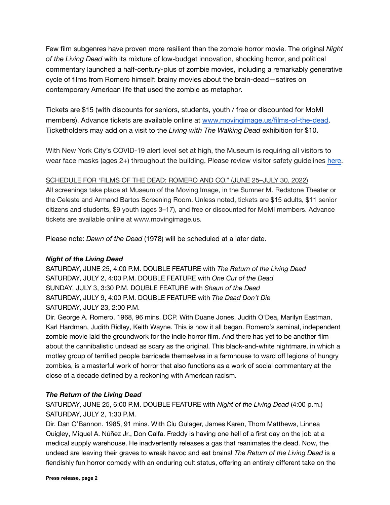Few film subgenres have proven more resilient than the zombie horror movie. The original *Night of the Living Dead* with its mixture of low-budget innovation, shocking horror, and political commentary launched a half-century-plus of zombie movies, including a remarkably generative cycle of films from Romero himself: brainy movies about the brain-dead—satires on contemporary American life that used the zombie as metaphor.

Tickets are \$15 (with discounts for seniors, students, youth / free or discounted for MoMI members). Advance tickets are available online at [www.movingimage.us/films-of-the-dead.](http://www.movingimage.us/films-of-the-dead) Ticketholders may add on a visit to the *Living with The Walking Dead* exhibition for \$10.

With New York City's COVID-19 alert level set at high, the Museum is requiring all visitors to wear face masks (ages 2+) throughout the building. Please review visitor safety guidelines [here.](https://movingimage.us/visit/safety-measures/)

# SCHEDULE FOR 'FILMS OF THE DEAD: ROMERO AND CO." (JUNE 25–JULY 30, 2022)

All screenings take place at Museum of the Moving Image, in the Sumner M. Redstone Theater or the Celeste and Armand Bartos Screening Room. Unless noted, tickets are \$15 adults, \$11 senior citizens and students, \$9 youth (ages 3–17), and free or discounted for MoMI members. Advance tickets are available online at www.movingimage.us.

Please note: *Dawn of the Dead* (1978) will be scheduled at a later date.

# *Night of the Living Dead*

SATURDAY, JUNE 25, 4:00 P.M. DOUBLE FEATURE with *The Return of the Living Dead* SATURDAY, JULY 2, 4:00 P.M. DOUBLE FEATURE with *One Cut of the Dead* SUNDAY, JULY 3, 3:30 P.M. DOUBLE FEATURE with *Shaun of the Dead* SATURDAY, JULY 9, 4:00 P.M. DOUBLE FEATURE with *The Dead Don't Die* SATURDAY, JULY 23, 2:00 P.M.

Dir. George A. Romero. 1968, 96 mins. DCP. With Duane Jones, Judith O'Dea, Marilyn Eastman, Karl Hardman, Judith Ridley, Keith Wayne. This is how it all began. Romero's seminal, independent zombie movie laid the groundwork for the indie horror film. And there has yet to be another film about the cannibalistic undead as scary as the original. This black-and-white nightmare, in which a motley group of terrified people barricade themselves in a farmhouse to ward off legions of hungry zombies, is a masterful work of horror that also functions as a work of social commentary at the close of a decade defined by a reckoning with American racism.

# *The Return of the Living Dead*

SATURDAY, JUNE 25, 6:00 P.M. DOUBLE FEATURE with *Night of the Living Dead* (4:00 p.m.) SATURDAY, JULY 2, 1:30 P.M.

Dir. Dan O'Bannon. 1985, 91 mins. With Clu Gulager, James Karen, Thom Matthews, Linnea Quigley, Miguel A. Núñez Jr., Don Calfa. Freddy is having one hell of a first day on the job at a medical supply warehouse. He inadvertently releases a gas that reanimates the dead. Now, the undead are leaving their graves to wreak havoc and eat brains! *The Return of the Living Dead* is a fiendishly fun horror comedy with an enduring cult status, offering an entirely different take on the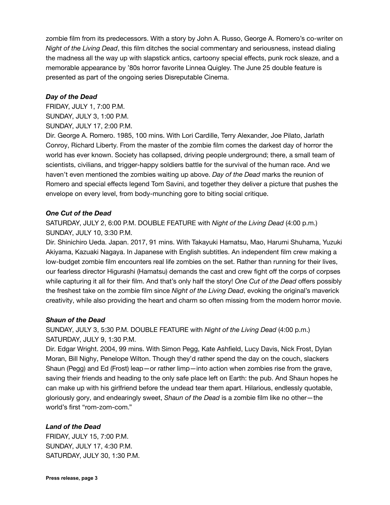zombie film from its predecessors. With a story by John A. Russo, George A. Romero's co-writer on *Night of the Living Dead*, this film ditches the social commentary and seriousness, instead dialing the madness all the way up with slapstick antics, cartoony special effects, punk rock sleaze, and a memorable appearance by '80s horror favorite Linnea Quigley. The June 25 double feature is presented as part of the ongoing series Disreputable Cinema.

#### *Day of the Dead*

FRIDAY, JULY 1, 7:00 P.M. SUNDAY, JULY 3, 1:00 P.M. SUNDAY, JULY 17, 2:00 P.M.

Dir. George A. Romero. 1985, 100 mins. With Lori Cardille, Terry Alexander, Joe Pilato, Jarlath Conroy, Richard Liberty. From the master of the zombie film comes the darkest day of horror the world has ever known. Society has collapsed, driving people underground; there, a small team of scientists, civilians, and trigger-happy soldiers battle for the survival of the human race. And we haven't even mentioned the zombies waiting up above. *Day of the Dead* marks the reunion of Romero and special effects legend Tom Savini, and together they deliver a picture that pushes the envelope on every level, from body-munching gore to biting social critique.

# *One Cut of the Dead*

SATURDAY, JULY 2, 6:00 P.M. DOUBLE FEATURE with *Night of the Living Dead* (4:00 p.m.) SUNDAY, JULY 10, 3:30 P.M.

Dir. Shinichiro Ueda. Japan. 2017, 91 mins. With Takayuki Hamatsu, Mao, Harumi Shuhama, Yuzuki Akiyama, Kazuaki Nagaya. In Japanese with English subtitles. An independent film crew making a low-budget zombie film encounters real life zombies on the set. Rather than running for their lives, our fearless director Higurashi (Hamatsu) demands the cast and crew fight off the corps of corpses while capturing it all for their film. And that's only half the story! *One Cut of the Dead* offers possibly the freshest take on the zombie film since *Night of the Living Dead*, evoking the original's maverick creativity, while also providing the heart and charm so often missing from the modern horror movie.

# *Shaun of the Dead*

SUNDAY, JULY 3, 5:30 P.M. DOUBLE FEATURE with *Night of the Living Dead* (4:00 p.m.) SATURDAY, JULY 9, 1:30 P.M.

Dir. Edgar Wright. 2004, 99 mins. With Simon Pegg, Kate Ashfield, Lucy Davis, Nick Frost, Dylan Moran, Bill Nighy, Penelope Wilton. Though they'd rather spend the day on the couch, slackers Shaun (Pegg) and Ed (Frost) leap—or rather limp—into action when zombies rise from the grave, saving their friends and heading to the only safe place left on Earth: the pub. And Shaun hopes he can make up with his girlfriend before the undead tear them apart. Hilarious, endlessly quotable, gloriously gory, and endearingly sweet, *Shaun of the Dead* is a zombie film like no other—the world's first "rom-zom-com."

# *Land of the Dead*

FRIDAY, JULY 15, 7:00 P.M. SUNDAY, JULY 17, 4:30 P.M. SATURDAY, JULY 30, 1:30 P.M.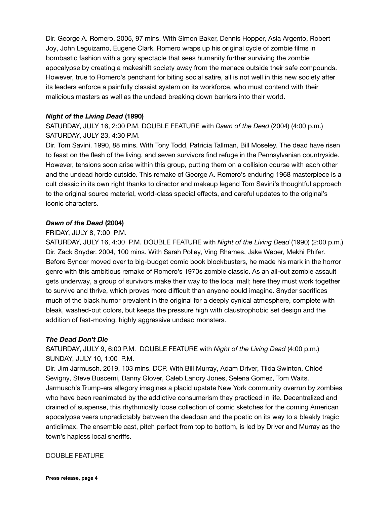Dir. George A. Romero. 2005, 97 mins. With Simon Baker, Dennis Hopper, Asia Argento, Robert Joy, John Leguizamo, Eugene Clark. Romero wraps up his original cycle of zombie films in bombastic fashion with a gory spectacle that sees humanity further surviving the zombie apocalypse by creating a makeshift society away from the menace outside their safe compounds. However, true to Romero's penchant for biting social satire, all is not well in this new society after its leaders enforce a painfully classist system on its workforce, who must contend with their malicious masters as well as the undead breaking down barriers into their world.

# *Night of the Living Dead* **(1990)**

SATURDAY, JULY 16, 2:00 P.M. DOUBLE FEATURE with *Dawn of the Dead* (2004) (4:00 p.m.) SATURDAY, JULY 23, 4:30 P.M.

Dir. Tom Savini. 1990, 88 mins. With Tony Todd, Patricia Tallman, Bill Moseley. The dead have risen to feast on the flesh of the living, and seven survivors find refuge in the Pennsylvanian countryside. However, tensions soon arise within this group, putting them on a collision course with each other and the undead horde outside. This remake of George A. Romero's enduring 1968 masterpiece is a cult classic in its own right thanks to director and makeup legend Tom Savini's thoughtful approach to the original source material, world-class special effects, and careful updates to the original's iconic characters.

# *Dawn of the Dead* **(2004)**

#### FRIDAY, JULY 8, 7:00 P.M.

SATURDAY, JULY 16, 4:00 P.M. DOUBLE FEATURE with *Night of the Living Dead* (1990) (2:00 p.m.) Dir. Zack Snyder. 2004, 100 mins. With Sarah Polley, Ving Rhames, Jake Weber, Mekhi Phifer. Before Synder moved over to big-budget comic book blockbusters, he made his mark in the horror genre with this ambitious remake of Romero's 1970s zombie classic. As an all-out zombie assault gets underway, a group of survivors make their way to the local mall; here they must work together to survive and thrive, which proves more difficult than anyone could imagine. Snyder sacrifices much of the black humor prevalent in the original for a deeply cynical atmosphere, complete with bleak, washed-out colors, but keeps the pressure high with claustrophobic set design and the addition of fast-moving, highly aggressive undead monsters.

#### *The Dead Don't Die*

SATURDAY, JULY 9, 6:00 P.M. DOUBLE FEATURE with *Night of the Living Dead* (4:00 p.m.) SUNDAY, JULY 10, 1:00 P.M.

Dir. Jim Jarmusch. 2019, 103 mins. DCP. With Bill Murray, Adam Driver, Tilda Swinton, Chloë Sevigny, Steve Buscemi, Danny Glover, Caleb Landry Jones, Selena Gomez, Tom Waits. Jarmusch's Trump-era allegory imagines a placid upstate New York community overrun by zombies who have been reanimated by the addictive consumerism they practiced in life. Decentralized and drained of suspense, this rhythmically loose collection of comic sketches for the coming American apocalypse veers unpredictably between the deadpan and the poetic on its way to a bleakly tragic anticlimax. The ensemble cast, pitch perfect from top to bottom, is led by Driver and Murray as the town's hapless local sheriffs.

DOUBLE FEATURE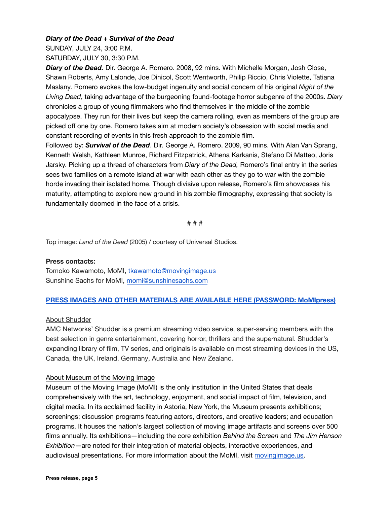# *Diary of the Dead* **+** *Survival of the Dead*

SUNDAY, JULY 24, 3:00 P.M. SATURDAY, JULY 30, 3:30 P.M.

*Diary of the Dead.* Dir. George A. Romero. 2008, 92 mins. With Michelle Morgan, Josh Close, Shawn Roberts, Amy Lalonde, Joe Dinicol, Scott Wentworth, Philip Riccio, Chris Violette, Tatiana Maslany. Romero evokes the low-budget ingenuity and social concern of his original *Night of the Living Dead*, taking advantage of the burgeoning found-footage horror subgenre of the 2000s. *Diary* chronicles a group of young filmmakers who find themselves in the middle of the zombie apocalypse. They run for their lives but keep the camera rolling, even as members of the group are picked off one by one. Romero takes aim at modern society's obsession with social media and constant recording of events in this fresh approach to the zombie film.

Followed by: *Survival of the Dead*. Dir. George A. Romero. 2009, 90 mins. With Alan Van Sprang, Kenneth Welsh, Kathleen Munroe, Richard Fitzpatrick, Athena Karkanis, Stefano Di Matteo, Joris Jarsky. Picking up a thread of characters from *Diary of the Dead,* Romero's final entry in the series sees two families on a remote island at war with each other as they go to war with the zombie horde invading their isolated home. Though divisive upon release, Romero's film showcases his maturity, attempting to explore new ground in his zombie filmography, expressing that society is fundamentally doomed in the face of a crisis.

# # #

Top image: *Land of the Dead* (2005) / courtesy of Universal Studios.

#### **Press contacts:**

Tomoko Kawamoto, MoMI, [tkawamoto@movingimage.us](mailto:tkawamoto@movingimage.us) Sunshine Sachs for MoMI, [momi@sunshinesachs.com](mailto:momi@sunshinesachs.com)

#### **[PRESS IMAGES AND OTHER MATERIALS ARE AVAILABLE HERE \(PASSWORD: MoMIpress\)](https://movingimage.us/about/press-media/)**

#### About Shudder

AMC Networks' Shudder is a premium streaming video service, super-serving members with the best selection in genre entertainment, covering horror, thrillers and the supernatural. Shudder's expanding library of film, TV series, and originals is available on most streaming devices in the US, Canada, the UK, Ireland, Germany, Australia and New Zealand.

#### About Museum of the Moving Image

Museum of the Moving Image (MoMI) is the only institution in the United States that deals comprehensively with the art, technology, enjoyment, and social impact of film, television, and digital media. In its acclaimed facility in Astoria, New York, the Museum presents exhibitions; screenings; discussion programs featuring actors, directors, and creative leaders; and education programs. It houses the nation's largest collection of moving image artifacts and screens over 500 films annually. Its exhibitions—including the core exhibition *Behind the Screen* and *The Jim Henson Exhibition*—are noted for their integration of material objects, interactive experiences, and audiovisual presentations. For more information about the MoMI, visit [movingimage.us.](https://movingimage.us/)